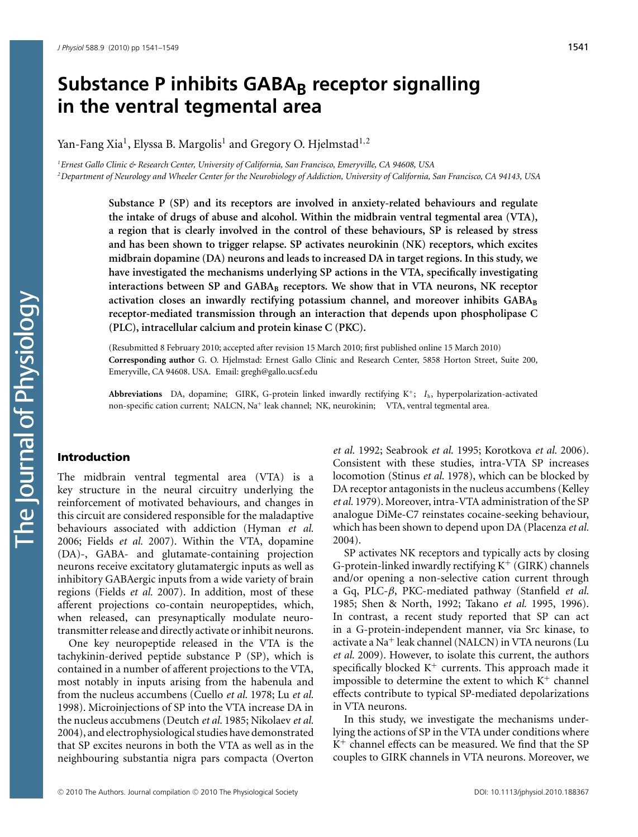# **Substance P inhibits GABA**<sub>B</sub> receptor signalling **in the ventral tegmental area**

Yan-Fang Xia<sup>1</sup>, Elyssa B. Margolis<sup>1</sup> and Gregory O. Hjelmstad<sup>1,2</sup>

*1 Ernest Gallo Clinic & Research Center, University of California, San Francisco, Emeryville, CA 94608, USA 2 Department of Neurology and Wheeler Center for the Neurobiology of Addiction, University of California, San Francisco, CA 94143, USA*

> **Substance P (SP) and its receptors are involved in anxiety-related behaviours and regulate the intake of drugs of abuse and alcohol. Within the midbrain ventral tegmental area (VTA), a region that is clearly involved in the control of these behaviours, SP is released by stress and has been shown to trigger relapse. SP activates neurokinin (NK) receptors, which excites midbrain dopamine (DA) neurons and leads to increased DA in target regions. In this study, we have investigated the mechanisms underlying SP actions in the VTA, specifically investigating interactions between SP and GABA<sup>B</sup> receptors. We show that in VTA neurons, NK receptor** activation closes an inwardly rectifying potassium channel, and moreover inhibits GABA<sub>B</sub> **receptor-mediated transmission through an interaction that depends upon phospholipase C (PLC), intracellular calcium and protein kinase C (PKC).**

> (Resubmitted 8 February 2010; accepted after revision 15 March 2010; first published online 15 March 2010) **Corresponding author** G. O. Hjelmstad: Ernest Gallo Clinic and Research Center, 5858 Horton Street, Suite 200, Emeryville, CA 94608. USA. Email: gregh@gallo.ucsf.edu

> **Abbreviations** DA, dopamine; GIRK, G-protein linked inwardly rectifying  $K^+$ ;  $I<sub>h</sub>$ , hyperpolarization-activated non-specific cation current; NALCN, Na<sup>+</sup> leak channel; NK, neurokinin; VTA, ventral tegmental area.

#### Introduction

The midbrain ventral tegmental area (VTA) is a key structure in the neural circuitry underlying the reinforcement of motivated behaviours, and changes in this circuit are considered responsible for the maladaptive behaviours associated with addiction (Hyman *et al.* 2006; Fields *et al.* 2007). Within the VTA, dopamine (DA)-, GABA- and glutamate-containing projection neurons receive excitatory glutamatergic inputs as well as inhibitory GABAergic inputs from a wide variety of brain regions (Fields *et al.* 2007). In addition, most of these afferent projections co-contain neuropeptides, which, when released, can presynaptically modulate neurotransmitter release and directly activate or inhibit neurons.

One key neuropeptide released in the VTA is the tachykinin-derived peptide substance P (SP), which is contained in a number of afferent projections to the VTA, most notably in inputs arising from the habenula and from the nucleus accumbens (Cuello *et al.* 1978; Lu *et al.* 1998). Microinjections of SP into the VTA increase DA in the nucleus accubmens (Deutch *et al.* 1985; Nikolaev *et al.* 2004), and electrophysiological studies have demonstrated that SP excites neurons in both the VTA as well as in the neighbouring substantia nigra pars compacta (Overton

*et al.* 1992; Seabrook *et al.* 1995; Korotkova *et al.* 2006). Consistent with these studies, intra-VTA SP increases locomotion (Stinus *et al.* 1978), which can be blocked by DA receptor antagonists in the nucleus accumbens (Kelley *et al.* 1979). Moreover, intra-VTA administration of the SP analogue DiMe-C7 reinstates cocaine-seeking behaviour, which has been shown to depend upon DA (Placenza *et al.* 2004).

SP activates NK receptors and typically acts by closing G-protein-linked inwardly rectifying  $K^+$  (GIRK) channels and/or opening a non-selective cation current through a Gq, PLC-*β*, PKC-mediated pathway (Stanfield *et al.* 1985; Shen & North, 1992; Takano *et al.* 1995, 1996). In contrast, a recent study reported that SP can act in a G-protein-independent manner, via Src kinase, to activate a Na<sup>+</sup> leak channel (NALCN) in VTA neurons (Lu *et al.* 2009). However, to isolate this current, the authors specifically blocked  $K^+$  currents. This approach made it impossible to determine the extent to which  $K^+$  channel effects contribute to typical SP-mediated depolarizations in VTA neurons.

In this study, we investigate the mechanisms underlying the actions of SP in the VTA under conditions where K<sup>+</sup> channel effects can be measured. We find that the SP couples to GIRK channels in VTA neurons. Moreover, we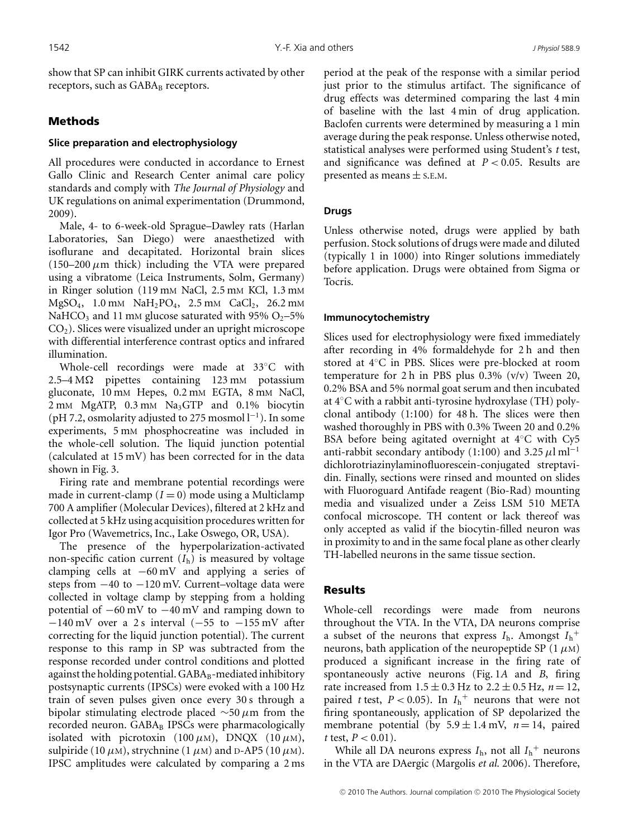show that SP can inhibit GIRK currents activated by other receptors, such as  $GABA_B$  receptors.

# Methods

## **Slice preparation and electrophysiology**

All procedures were conducted in accordance to Ernest Gallo Clinic and Research Center animal care policy standards and comply with *The Journal of Physiology* and UK regulations on animal experimentation (Drummond, 2009).

Male, 4- to 6-week-old Sprague–Dawley rats (Harlan Laboratories, San Diego) were anaesthetized with isoflurane and decapitated. Horizontal brain slices  $(150-200 \mu m)$  thick) including the VTA were prepared using a vibratome (Leica Instruments, Solm, Germany) in Ringer solution (119 mm NaCl, 2.5 mm KCl, 1.3 mm  $MgSO_4$ , 1.0 mm  $NaH_2PO_4$ , 2.5 mm  $CaCl_2$ , 26.2 mm NaHCO<sub>3</sub> and 11 mM glucose saturated with 95% O<sub>2</sub>-5%  $CO<sub>2</sub>$ ). Slices were visualized under an upright microscope with differential interference contrast optics and infrared illumination.

Whole-cell recordings were made at 33◦C with  $2.5-4 \text{ M}\Omega$  pipettes containing 123 mM potassium gluconate, 10 mm Hepes, 0.2 mm EGTA, 8 mm NaCl, 2 mM MgATP, 0.3 mM Na<sub>3</sub>GTP and 0.1% biocytin (pH 7.2, osmolarity adjusted to 275 mosmol  $l^{-1}$ ). In some experiments, 5 mM phosphocreatine was included in the whole-cell solution. The liquid junction potential (calculated at 15 mV) has been corrected for in the data shown in Fig. 3.

Firing rate and membrane potential recordings were made in current-clamp  $(I = 0)$  mode using a Multiclamp 700 A amplifier (Molecular Devices), filtered at 2 kHz and collected at 5 kHz using acquisition procedures written for Igor Pro (Wavemetrics, Inc., Lake Oswego, OR, USA).

The presence of the hyperpolarization-activated non-specific cation current  $(I_h)$  is measured by voltage clamping cells at −60 mV and applying a series of steps from −40 to −120 mV. Current–voltage data were collected in voltage clamp by stepping from a holding potential of  $-60 \text{ mV}$  to  $-40 \text{ mV}$  and ramping down to  $-140$  mV over a 2 s interval ( $-55$  to  $-155$  mV after correcting for the liquid junction potential). The current response to this ramp in SP was subtracted from the response recorded under control conditions and plotted against the holding potential.  $GABA_B$ -mediated inhibitory postsynaptic currents (IPSCs) were evoked with a 100 Hz train of seven pulses given once every 30 s through a bipolar stimulating electrode placed ∼50 *μ*m from the recorded neuron. GABAB IPSCs were pharmacologically isolated with picrotoxin (100  $\mu$ M), DNQX (10  $\mu$ M), sulpiride (10  $\mu$ M), strychnine (1  $\mu$ M) and D-AP5 (10  $\mu$ M). IPSC amplitudes were calculated by comparing a 2 ms period at the peak of the response with a similar period just prior to the stimulus artifact. The significance of drug effects was determined comparing the last 4 min of baseline with the last 4 min of drug application. Baclofen currents were determined by measuring a 1 min average during the peak response. Unless otherwise noted, statistical analyses were performed using Student's *t* test, and significance was defined at *P <* 0.05. Results are presented as means  $\pm$  s.E.M.

## **Drugs**

Unless otherwise noted, drugs were applied by bath perfusion. Stock solutions of drugs were made and diluted (typically 1 in 1000) into Ringer solutions immediately before application. Drugs were obtained from Sigma or Tocris.

## **Immunocytochemistry**

Slices used for electrophysiology were fixed immediately after recording in 4% formaldehyde for 2 h and then stored at 4◦C in PBS. Slices were pre-blocked at room temperature for 2 h in PBS plus  $0.3\%$  (v/v) Tween 20, 0.2% BSA and 5% normal goat serum and then incubated at 4◦C with a rabbit anti-tyrosine hydroxylase (TH) polyclonal antibody (1:100) for 48 h. The slices were then washed thoroughly in PBS with 0.3% Tween 20 and 0.2% BSA before being agitated overnight at 4◦C with Cy5 anti-rabbit secondary antibody (1:100) and 3.25  $\mu$ l ml<sup>-1</sup> dichlorotriazinylaminofluorescein-conjugated streptavidin. Finally, sections were rinsed and mounted on slides with Fluoroguard Antifade reagent (Bio-Rad) mounting media and visualized under a Zeiss LSM 510 META confocal microscope. TH content or lack thereof was only accepted as valid if the biocytin-filled neuron was in proximity to and in the same focal plane as other clearly TH-labelled neurons in the same tissue section.

## Results

Whole-cell recordings were made from neurons throughout the VTA. In the VTA, DA neurons comprise a subset of the neurons that express  $I_h$ . Amongst  $I_h^+$ neurons, bath application of the neuropeptide SP (1 *μ*M) produced a significant increase in the firing rate of spontaneously active neurons (Fig. 1*A* and *B*, firing rate increased from  $1.5 \pm 0.3$  Hz to  $2.2 \pm 0.5$  Hz,  $n = 12$ , paired *t* test,  $P < 0.05$ ). In  $I_h^+$  neurons that were not firing spontaneously, application of SP depolarized the membrane potential (by  $5.9 \pm 1.4$  mV,  $n = 14$ , paired *t* test,  $P < 0.01$ ).

While all DA neurons express  $I_{\rm h}$ , not all  $I_{\rm h}$ <sup>+</sup> neurons in the VTA are DAergic (Margolis *et al.* 2006). Therefore,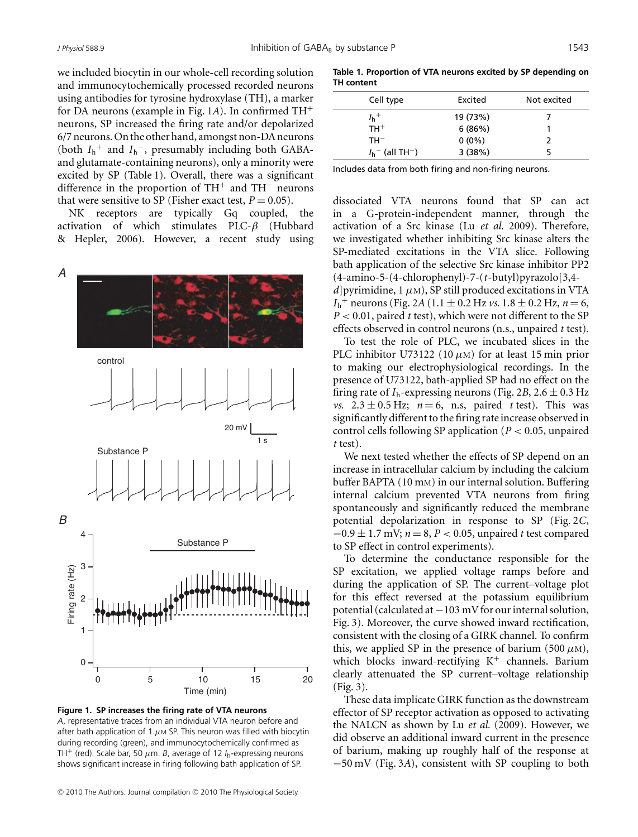we included biocytin in our whole-cell recording solution and immunocytochemically processed recorded neurons using antibodies for tyrosine hydroxylase (TH), a marker for DA neurons (example in Fig. 1*A*). In confirmed TH<sup>+</sup> neurons, SP increased the firing rate and/or depolarized 6/7 neurons. On the other hand, amongst non-DA neurons (both  $I_h^+$  and  $I_h^-$ , presumably including both GABAand glutamate-containing neurons), only a minority were excited by SP (Table 1). Overall, there was a significant difference in the proportion of  $TH^+$  and  $TH^-$  neurons that were sensitive to SP (Fisher exact test,  $P = 0.05$ ).

NK receptors are typically Gq coupled, the activation of which stimulates PLC-*β* (Hubbard & Hepler, 2006). However, a recent study using



**Figure 1. SP increases the firing rate of VTA neurons** *A*, representative traces from an individual VTA neuron before and after bath application of 1  $\mu$ m SP. This neuron was filled with biocytin during recording (green), and immunocytochemically confirmed as TH<sup>+</sup> (red). Scale bar, 50  $\mu$ m. *B*, average of 12  $I<sub>b</sub>$ -expressing neurons shows significant increase in firing following bath application of SP.

**Table 1. Proportion of VTA neurons excited by SP depending on TH content**

| Cell type                      | Excited  | Not excited |
|--------------------------------|----------|-------------|
| $I_h$ <sup>+</sup>             | 19 (73%) |             |
| $TH^+$                         | 6(86%)   |             |
| $TH^{-}$                       | $0(0\%)$ |             |
| $I_h^-$ (all TH <sup>-</sup> ) | 3(38%)   |             |

Includes data from both firing and non-firing neurons.

dissociated VTA neurons found that SP can act in a G-protein-independent manner, through the activation of a Src kinase (Lu *et al.* 2009). Therefore, we investigated whether inhibiting Src kinase alters the SP-mediated excitations in the VTA slice. Following bath application of the selective Src kinase inhibitor PP2 (4-amino-5-(4-chlorophenyl)-7-(*t*-butyl)pyrazolo[3,4  $d$ ] pyrimidine, 1  $\mu$ M), SP still produced excitations in VTA  $I_h^+$  neurons (Fig. 2*A* (1.1 ± 0.2 Hz *vs.* 1.8 ± 0.2 Hz, *n* = 6, *P <* 0.01, paired *t* test), which were not different to the SP effects observed in control neurons (n.s., unpaired *t* test).

To test the role of PLC, we incubated slices in the PLC inhibitor U73122 (10 μM) for at least 15 min prior to making our electrophysiological recordings. In the presence of U73122, bath-applied SP had no effect on the firing rate of  $I_h$ -expressing neurons (Fig. 2*B*, 2.6  $\pm$  0.3 Hz *vs.*  $2.3 \pm 0.5$  Hz;  $n = 6$ , n.s, paired *t* test). This was significantly different to the firing rate increase observed in control cells following SP application (*P <* 0.05, unpaired *t* test).

We next tested whether the effects of SP depend on an increase in intracellular calcium by including the calcium buffer BAPTA (10 mM) in our internal solution. Buffering internal calcium prevented VTA neurons from firing spontaneously and significantly reduced the membrane potential depolarization in response to SP (Fig. 2*C*, −0.9 ± 1.7 mV; *n* = 8, *P <* 0.05, unpaired *t* test compared to SP effect in control experiments).

To determine the conductance responsible for the SP excitation, we applied voltage ramps before and during the application of SP. The current–voltage plot for this effect reversed at the potassium equilibrium potential (calculated at −103 mV for our internal solution, Fig. 3). Moreover, the curve showed inward rectification, consistent with the closing of a GIRK channel. To confirm this, we applied SP in the presence of barium (500  $\mu$ M), which blocks inward-rectifying  $K^+$  channels. Barium clearly attenuated the SP current–voltage relationship (Fig. 3).

These data implicate GIRK function as the downstream effector of SP receptor activation as opposed to activating the NALCN as shown by Lu *et al.* (2009). However, we did observe an additional inward current in the presence of barium, making up roughly half of the response at −50 mV (Fig. 3*A*), consistent with SP coupling to both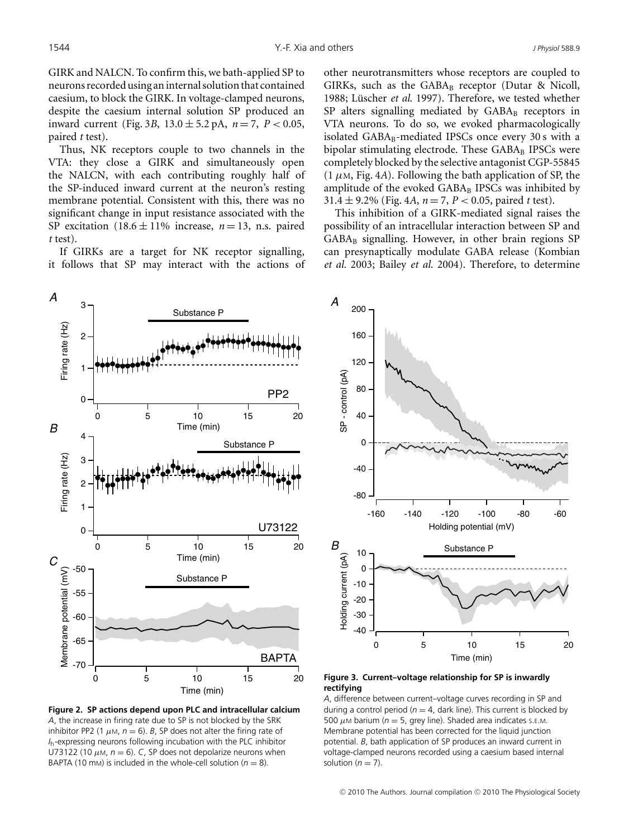GIRK and NALCN. To confirm this, we bath-applied SP to neurons recorded using aninternal solution that contained caesium, to block the GIRK. In voltage-clamped neurons, despite the caesium internal solution SP produced an inward current (Fig. 3*B*,  $13.0 \pm 5.2$  pA,  $n = 7$ ,  $P < 0.05$ , paired *t* test).

Thus, NK receptors couple to two channels in the VTA: they close a GIRK and simultaneously open the NALCN, with each contributing roughly half of the SP-induced inward current at the neuron's resting membrane potential. Consistent with this, there was no significant change in input resistance associated with the SP excitation  $(18.6 \pm 11\%)$  increase,  $n = 13$ , n.s. paired *t* test).

If GIRKs are a target for NK receptor signalling, it follows that SP may interact with the actions of other neurotransmitters whose receptors are coupled to GIRKs, such as the  $GABA_B$  receptor (Dutar & Nicoll, 1988; Lüscher et al. 1997). Therefore, we tested whether SP alters signalling mediated by GABAB receptors in VTA neurons. To do so, we evoked pharmacologically isolated GABA<sub>B</sub>-mediated IPSCs once every 30 s with a bipolar stimulating electrode. These  $GABA_B$  IPSCs were completely blocked by the selective antagonist CGP-55845  $(1 \mu M, Fig. 4A)$ . Following the bath application of SP, the amplitude of the evoked  $GABA_B$  IPSCs was inhibited by 31.4 ± 9.2% (Fig. 4*A*, *n* = 7, *P <* 0.05, paired *t* test).

This inhibition of a GIRK-mediated signal raises the possibility of an intracellular interaction between SP and  $GABA_B$  signalling. However, in other brain regions SP can presynaptically modulate GABA release (Kombian *et al.* 2003; Bailey *et al.* 2004). Therefore, to determine



**Figure 2. SP actions depend upon PLC and intracellular calcium** *A*, the increase in firing rate due to SP is not blocked by the SRK inhibitor PP2 (1  $\mu$ M,  $n = 6$ ). *B*, SP does not alter the firing rate of *I*h-expressing neurons following incubation with the PLC inhibitor U73122 (10  $\mu$ M,  $n = 6$ ). *C*, SP does not depolarize neurons when BAPTA (10 mm) is included in the whole-cell solution ( $n = 8$ ).



**Figure 3. Current–voltage relationship for SP is inwardly rectifying**

*A*, difference between current–voltage curves recording in SP and during a control period ( $n = 4$ , dark line). This current is blocked by 500  $\mu$ M barium ( $n = 5$ , grey line). Shaded area indicates s.E.M. Membrane potential has been corrected for the liquid junction potential. *B*, bath application of SP produces an inward current in voltage-clamped neurons recorded using a caesium based internal solution  $(n = 7)$ .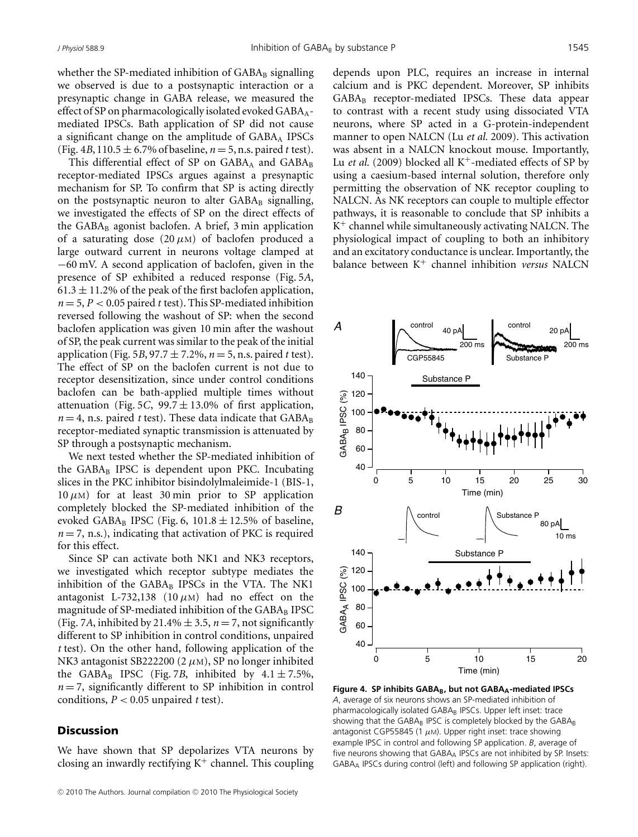whether the SP-mediated inhibition of  $GABA_B$  signalling we observed is due to a postsynaptic interaction or a presynaptic change in GABA release, we measured the effect of SP on pharmacologically isolated evoked GABA<sub>A</sub>mediated IPSCs. Bath application of SP did not cause a significant change on the amplitude of  $GABA_A$  IPSCs (Fig. 4*B*, 110.5  $\pm$  6.7% of baseline, *n* = 5, n.s. paired *t* test).

This differential effect of SP on  $GABA_A$  and  $GABA_B$ receptor-mediated IPSCs argues against a presynaptic mechanism for SP. To confirm that SP is acting directly on the postsynaptic neuron to alter  $GABA_B$  signalling, we investigated the effects of SP on the direct effects of the  $GABA_B$  agonist baclofen. A brief, 3 min application of a saturating dose  $(20 \mu)$  of baclofen produced a large outward current in neurons voltage clamped at −60 mV. A second application of baclofen, given in the presence of SP exhibited a reduced response (Fig. 5*A*,  $61.3 \pm 11.2$ % of the peak of the first baclofen application,  $n = 5, P < 0.05$  paired *t* test). This SP-mediated inhibition reversed following the washout of SP: when the second baclofen application was given 10 min after the washout of SP, the peak current was similar to the peak of the initial application (Fig. 5*B*, 97.7  $\pm$  7.2%, *n* = 5, n.s. paired *t* test). The effect of SP on the baclofen current is not due to receptor desensitization, since under control conditions baclofen can be bath-applied multiple times without attenuation (Fig. 5*C*, 99.7  $\pm$  13.0% of first application,  $n = 4$ , n.s. paired *t* test). These data indicate that  $GABA_B$ receptor-mediated synaptic transmission is attenuated by SP through a postsynaptic mechanism.

We next tested whether the SP-mediated inhibition of the  $GABA_B$  IPSC is dependent upon PKC. Incubating slices in the PKC inhibitor bisindolylmaleimide-1 (BIS-1,  $10 \mu$ M) for at least 30 min prior to SP application completely blocked the SP-mediated inhibition of the evoked GABA<sub>B</sub> IPSC (Fig. 6, 101.8  $\pm$  12.5% of baseline,  $n = 7$ , n.s.), indicating that activation of PKC is required for this effect.

Since SP can activate both NK1 and NK3 receptors, we investigated which receptor subtype mediates the inhibition of the GABAB IPSCs in the VTA. The NK1 antagonist L-732,138 (10  $\mu$ M) had no effect on the magnitude of SP-mediated inhibition of the  $GABA_B$  IPSC (Fig. 7*A*, inhibited by 21.4%  $\pm$  3.5, *n* = 7, not significantly different to SP inhibition in control conditions, unpaired *t* test). On the other hand, following application of the NK3 antagonist SB222200 (2 *μ*M), SP no longer inhibited the GABA<sub>B</sub> IPSC (Fig. 7*B*, inhibited by  $4.1 \pm 7.5\%$ ,  $n = 7$ , significantly different to SP inhibition in control conditions,  $P < 0.05$  unpaired *t* test).

#### **Discussion**

We have shown that SP depolarizes VTA neurons by closing an inwardly rectifying  $K^+$  channel. This coupling

depends upon PLC, requires an increase in internal calcium and is PKC dependent. Moreover, SP inhibits GABA<sub>B</sub> receptor-mediated IPSCs. These data appear to contrast with a recent study using dissociated VTA neurons, where SP acted in a G-protein-independent manner to open NALCN (Lu *et al.* 2009). This activation was absent in a NALCN knockout mouse. Importantly, Lu *et al.* (2009) blocked all  $K^+$ -mediated effects of SP by using a caesium-based internal solution, therefore only permitting the observation of NK receptor coupling to NALCN. As NK receptors can couple to multiple effector pathways, it is reasonable to conclude that SP inhibits a  $K^+$  channel while simultaneously activating NALCN. The physiological impact of coupling to both an inhibitory and an excitatory conductance is unclear. Importantly, the balance between K<sup>+</sup> channel inhibition *versus* NALCN



Figure 4. SP inhibits GABA<sub>B</sub>, but not GABA<sub>A</sub>-mediated IPSCs *A*, average of six neurons shows an SP-mediated inhibition of pharmacologically isolated GABA<sub>B</sub> IPSCs. Upper left inset: trace showing that the GABAB IPSC is completely blocked by the GABAB antagonist CGP55845 (1  $\mu$ M). Upper right inset: trace showing example IPSC in control and following SP application. *B*, average of five neurons showing that GABAA IPSCs are not inhibited by SP. Insets: GABAA IPSCs during control (left) and following SP application (right).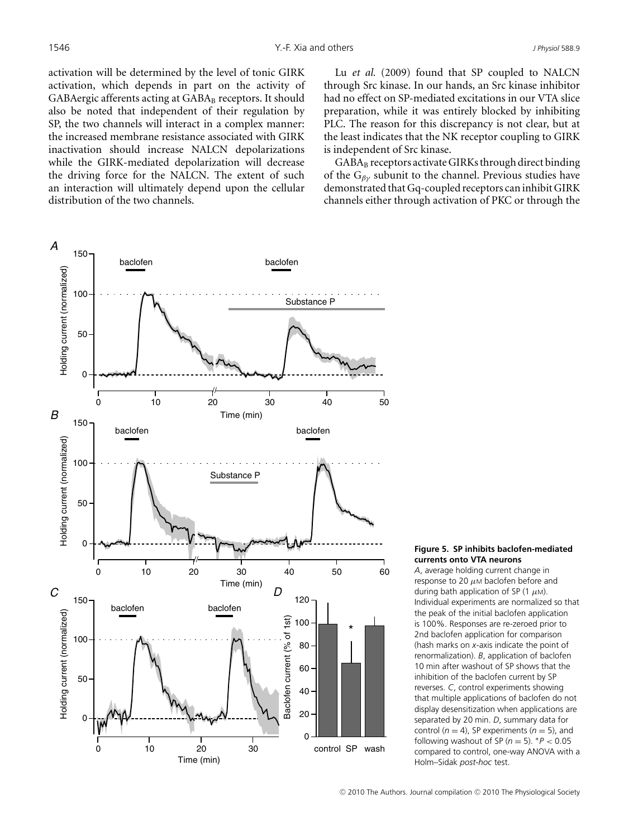activation will be determined by the level of tonic GIRK activation, which depends in part on the activity of GABAergic afferents acting at GABA<sub>B</sub> receptors. It should also be noted that independent of their regulation by SP, the two channels will interact in a complex manner: the increased membrane resistance associated with GIRK inactivation should increase NALCN depolarizations while the GIRK-mediated depolarization will decrease the driving force for the NALCN. The extent of such an interaction will ultimately depend upon the cellular distribution of the two channels.

*A* 150 baclofen baclofen Holding current (normalized) Holding current (normalized) 100 Substance P 50  $\Omega$ // 0 10 20 30 40 50 *B* Time (min)<br>baclofen baclofen Holding current (normalized) Holding current (normalized) 100 Substance F 50 0 // 0 10 20 30 40 50 60 Time (min) *C D* 150 120 baclofen baclofen Holding current (normalized) Holding current (normalized) Baclofen current (% of 1st) Baclofen current (% of 1st) 100 \* 100 80 60 50 40 20  $\Omega$  $\Omega$ control SP wash 0 10 20 30 Time (min)

Lu *et al.* (2009) found that SP coupled to NALCN through Src kinase. In our hands, an Src kinase inhibitor had no effect on SP-mediated excitations in our VTA slice preparation, while it was entirely blocked by inhibiting PLC. The reason for this discrepancy is not clear, but at the least indicates that the NK receptor coupling to GIRK is independent of Src kinase.

GABA<sub>B</sub> receptors activate GIRKs through direct binding of the G*βγ* subunit to the channel. Previous studies have demonstrated that Gq-coupled receptors can inhibit GIRK channels either through activation of PKC or through the

#### **Figure 5. SP inhibits baclofen-mediated currents onto VTA neurons**

*A*, average holding current change in response to 20  $\mu$ M baclofen before and during bath application of SP (1  $\mu$ M). Individual experiments are normalized so that the peak of the initial baclofen application is 100%. Responses are re-zeroed prior to 2nd baclofen application for comparison (hash marks on *x*-axis indicate the point of renormalization). *B*, application of baclofen 10 min after washout of SP shows that the inhibition of the baclofen current by SP reverses. *C*, control experiments showing that multiple applications of baclofen do not display desensitization when applications are separated by 20 min. *D*, summary data for control  $(n = 4)$ , SP experiments  $(n = 5)$ , and following washout of SP ( $n = 5$ ).  $P < 0.05$ compared to control, one-way ANOVA with a Holm–Sidak *post-hoc* test.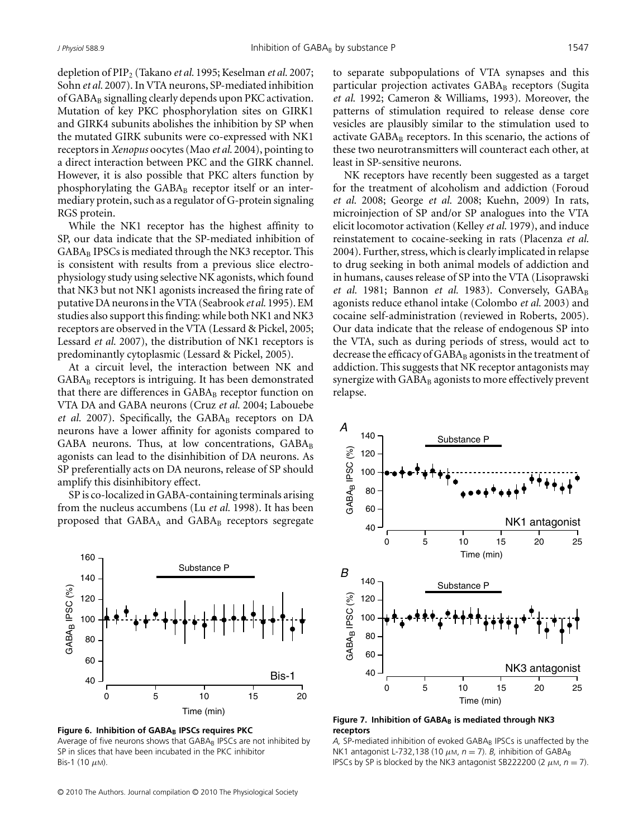depletion of PIP2 (Takano *et al.* 1995; Keselman *et al.* 2007; Sohn *et al.* 2007). In VTA neurons, SP-mediated inhibition of  $GABA_B$  signalling clearly depends upon PKC activation. Mutation of key PKC phosphorylation sites on GIRK1 and GIRK4 subunits abolishes the inhibition by SP when the mutated GIRK subunits were co-expressed with NK1 receptors in *Xenopus* oocytes (Mao *et al.* 2004), pointing to a direct interaction between PKC and the GIRK channel. However, it is also possible that PKC alters function by phosphorylating the  $GABA_B$  receptor itself or an intermediary protein, such as a regulator of G-protein signaling RGS protein.

While the NK1 receptor has the highest affinity to SP, our data indicate that the SP-mediated inhibition of GABA<sub>B</sub> IPSCs is mediated through the NK3 receptor. This is consistent with results from a previous slice electrophysiology study using selective NK agonists, which found that NK3 but not NK1 agonists increased the firing rate of putative DA neurons in the VTA (Seabrook *et al.* 1995). EM studies also support this finding: while both NK1 and NK3 receptors are observed in the VTA (Lessard & Pickel, 2005; Lessard *et al.* 2007), the distribution of NK1 receptors is predominantly cytoplasmic (Lessard & Pickel, 2005).

At a circuit level, the interaction between NK and GABA<sub>B</sub> receptors is intriguing. It has been demonstrated that there are differences in  $GABA_B$  receptor function on VTA DA and GABA neurons (Cruz *et al.* 2004; Labouebe *et al.* 2007). Specifically, the GABA<sub>B</sub> receptors on DA neurons have a lower affinity for agonists compared to GABA neurons. Thus, at low concentrations, GABAB agonists can lead to the disinhibition of DA neurons. As SP preferentially acts on DA neurons, release of SP should amplify this disinhibitory effect.

SP is co-localized in GABA-containing terminals arising from the nucleus accumbens (Lu *et al.* 1998). It has been proposed that  $GABA_A$  and  $GABA_B$  receptors segregate



**Figure 6. Inhibition of GABAB IPSCs requires PKC** Average of five neurons shows that GABAB IPSCs are not inhibited by SP in slices that have been incubated in the PKC inhibitor Bis-1 (10  $\mu$ M).

**-**<sup>C</sup> 2010 The Authors. Journal compilation **-**<sup>C</sup> 2010 The Physiological Society

to separate subpopulations of VTA synapses and this particular projection activates GABA<sub>B</sub> receptors (Sugita *et al.* 1992; Cameron & Williams, 1993). Moreover, the patterns of stimulation required to release dense core vesicles are plausibly similar to the stimulation used to activate  $GABA_B$  receptors. In this scenario, the actions of these two neurotransmitters will counteract each other, at least in SP-sensitive neurons.

NK receptors have recently been suggested as a target for the treatment of alcoholism and addiction (Foroud *et al.* 2008; George *et al.* 2008; Kuehn, 2009) In rats, microinjection of SP and/or SP analogues into the VTA elicit locomotor activation (Kelley *et al.* 1979), and induce reinstatement to cocaine-seeking in rats (Placenza *et al.* 2004). Further, stress, which is clearly implicated in relapse to drug seeking in both animal models of addiction and in humans, causes release of SP into the VTA (Lisoprawski *et al.* 1981; Bannon *et al.* 1983). Conversely, GABA<sub>B</sub> agonists reduce ethanol intake (Colombo *et al.* 2003) and cocaine self-administration (reviewed in Roberts, 2005). Our data indicate that the release of endogenous SP into the VTA, such as during periods of stress, would act to decrease the efficacy of  $GABA_B$  agonists in the treatment of addiction. This suggests that NK receptor antagonists may synergize with  $GABA_B$  agonists to more effectively prevent relapse.



Figure 7. Inhibition of GABA<sub>B</sub> is mediated through NK3 **receptors**

A, SP-mediated inhibition of evoked GABA<sub>B</sub> IPSCs is unaffected by the NK1 antagonist L-732,138 (10  $\mu$ м,  $n = 7$ ). *B*, inhibition of GABA<sub>B</sub> IPSCs by SP is blocked by the NK3 antagonist SB222200 (2  $\mu$ M,  $n = 7$ ).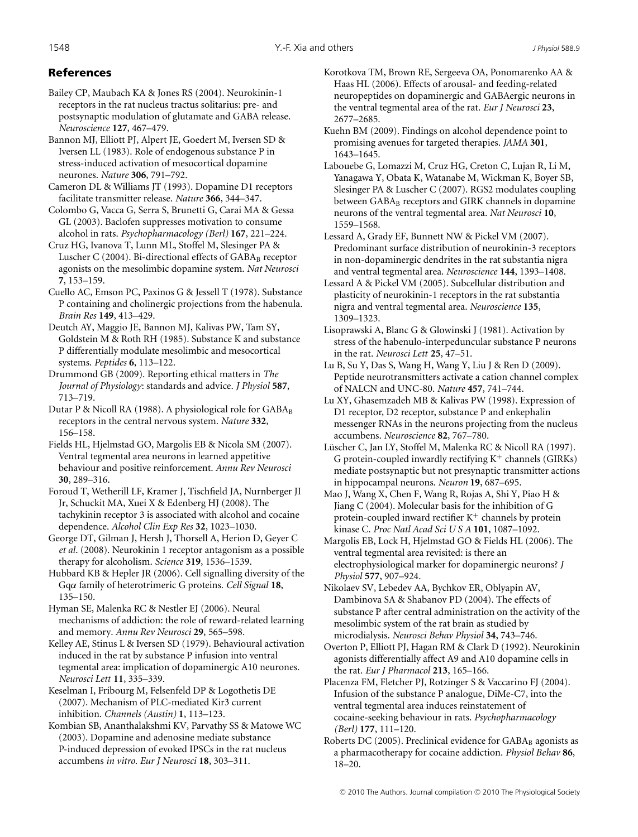# References

Bailey CP, Maubach KA & Jones RS (2004). Neurokinin-1 receptors in the rat nucleus tractus solitarius: pre- and postsynaptic modulation of glutamate and GABA release. *Neuroscience* **127**, 467–479.

Bannon MJ, Elliott PJ, Alpert JE, Goedert M, Iversen SD & Iversen LL (1983). Role of endogenous substance P in stress-induced activation of mesocortical dopamine neurones. *Nature* **306**, 791–792.

Cameron DL & Williams JT (1993). Dopamine D1 receptors facilitate transmitter release. *Nature* **366**, 344–347.

Colombo G, Vacca G, Serra S, Brunetti G, Carai MA & Gessa GL (2003). Baclofen suppresses motivation to consume alcohol in rats. *Psychopharmacology (Berl)* **167**, 221–224.

Cruz HG, Ivanova T, Lunn ML, Stoffel M, Slesinger PA & Luscher C (2004). Bi-directional effects of  $GABA_B$  receptor agonists on the mesolimbic dopamine system. *Nat Neurosci* **7**, 153–159.

Cuello AC, Emson PC, Paxinos G & Jessell T (1978). Substance P containing and cholinergic projections from the habenula. *Brain Res* **149**, 413–429.

Deutch AY, Maggio JE, Bannon MJ, Kalivas PW, Tam SY, Goldstein M & Roth RH (1985). Substance K and substance P differentially modulate mesolimbic and mesocortical systems. *Peptides* **6**, 113–122.

Drummond GB (2009). Reporting ethical matters in *The Journal of Physiology*: standards and advice. *J Physiol* **587**, 713–719.

Dutar P & Nicoll RA (1988). A physiological role for  $GABA_B$ receptors in the central nervous system. *Nature* **332**, 156–158.

Fields HL, Hjelmstad GO, Margolis EB & Nicola SM (2007). Ventral tegmental area neurons in learned appetitive behaviour and positive reinforcement. *Annu Rev Neurosci* **30**, 289–316.

Foroud T, Wetherill LF, Kramer J, Tischfield JA, Nurnberger JI Jr, Schuckit MA, Xuei X & Edenberg HJ (2008). The tachykinin receptor 3 is associated with alcohol and cocaine dependence. *Alcohol Clin Exp Res* **32**, 1023–1030.

George DT, Gilman J, Hersh J, Thorsell A, Herion D, Geyer C *et al*. (2008). Neurokinin 1 receptor antagonism as a possible therapy for alcoholism. *Science* **319**, 1536–1539.

Hubbard KB & Hepler JR (2006). Cell signalling diversity of the Gq*α* family of heterotrimeric G proteins. *Cell Signal* **18**, 135–150.

Hyman SE, Malenka RC & Nestler EJ (2006). Neural mechanisms of addiction: the role of reward-related learning and memory. *Annu Rev Neurosci* **29**, 565–598.

Kelley AE, Stinus L & Iversen SD (1979). Behavioural activation induced in the rat by substance P infusion into ventral tegmental area: implication of dopaminergic A10 neurones. *Neurosci Lett* **11**, 335–339.

Keselman I, Fribourg M, Felsenfeld DP & Logothetis DE (2007). Mechanism of PLC-mediated Kir3 current inhibition. *Channels (Austin)* **1**, 113–123.

Kombian SB, Ananthalakshmi KV, Parvathy SS & Matowe WC (2003). Dopamine and adenosine mediate substance P-induced depression of evoked IPSCs in the rat nucleus accumbens *in vitro*. *Eur J Neurosci* **18**, 303–311.

Korotkova TM, Brown RE, Sergeeva OA, Ponomarenko AA & Haas HL (2006). Effects of arousal- and feeding-related neuropeptides on dopaminergic and GABAergic neurons in the ventral tegmental area of the rat. *Eur J Neurosci* **23**, 2677–2685.

Kuehn BM (2009). Findings on alcohol dependence point to promising avenues for targeted therapies. *JAMA* **301**, 1643–1645.

Labouebe G, Lomazzi M, Cruz HG, Creton C, Lujan R, Li M, Yanagawa Y, Obata K, Watanabe M, Wickman K, Boyer SB, Slesinger PA & Luscher C (2007). RGS2 modulates coupling between GABA<sub>B</sub> receptors and GIRK channels in dopamine neurons of the ventral tegmental area. *Nat Neurosci* **10**, 1559–1568.

Lessard A, Grady EF, Bunnett NW & Pickel VM (2007). Predominant surface distribution of neurokinin-3 receptors in non-dopaminergic dendrites in the rat substantia nigra and ventral tegmental area. *Neuroscience* **144**, 1393–1408.

Lessard A & Pickel VM (2005). Subcellular distribution and plasticity of neurokinin-1 receptors in the rat substantia nigra and ventral tegmental area. *Neuroscience* **135**, 1309–1323.

Lisoprawski A, Blanc G & Glowinski J (1981). Activation by stress of the habenulo-interpeduncular substance P neurons in the rat. *Neurosci Lett* **25**, 47–51.

Lu B, Su Y, Das S, Wang H, Wang Y, Liu J & Ren D (2009). Peptide neurotransmitters activate a cation channel complex of NALCN and UNC-80. *Nature* **457**, 741–744.

Lu XY, Ghasemzadeh MB & Kalivas PW (1998). Expression of D1 receptor, D2 receptor, substance P and enkephalin messenger RNAs in the neurons projecting from the nucleus accumbens. *Neuroscience* **82**, 767–780.

Lüscher C, Jan LY, Stoffel M, Malenka RC & Nicoll RA (1997). G protein-coupled inwardly rectifying  $K^+$  channels (GIRKs) mediate postsynaptic but not presynaptic transmitter actions in hippocampal neurons. *Neuron* **19**, 687–695.

Mao J, Wang X, Chen F, Wang R, Rojas A, Shi Y, Piao H & Jiang C (2004). Molecular basis for the inhibition of G protein-coupled inward rectifier  $K^+$  channels by protein kinase C. *Proc Natl Acad Sci U S A* **101**, 1087–1092.

Margolis EB, Lock H, Hjelmstad GO & Fields HL (2006). The ventral tegmental area revisited: is there an electrophysiological marker for dopaminergic neurons? *J Physiol* **577**, 907–924.

Nikolaev SV, Lebedev AA, Bychkov ER, Oblyapin AV, Dambinova SA & Shabanov PD (2004). The effects of substance P after central administration on the activity of the mesolimbic system of the rat brain as studied by microdialysis. *Neurosci Behav Physiol* **34**, 743–746.

Overton P, Elliott PJ, Hagan RM & Clark D (1992). Neurokinin agonists differentially affect A9 and A10 dopamine cells in the rat. *Eur J Pharmacol* **213**, 165–166.

Placenza FM, Fletcher PJ, Rotzinger S & Vaccarino FJ (2004). Infusion of the substance P analogue, DiMe-C7, into the ventral tegmental area induces reinstatement of cocaine-seeking behaviour in rats. *Psychopharmacology (Berl)* **177**, 111–120.

Roberts DC (2005). Preclinical evidence for  $GABA_B$  agonists as a pharmacotherapy for cocaine addiction. *Physiol Behav* **86**, 18–20.